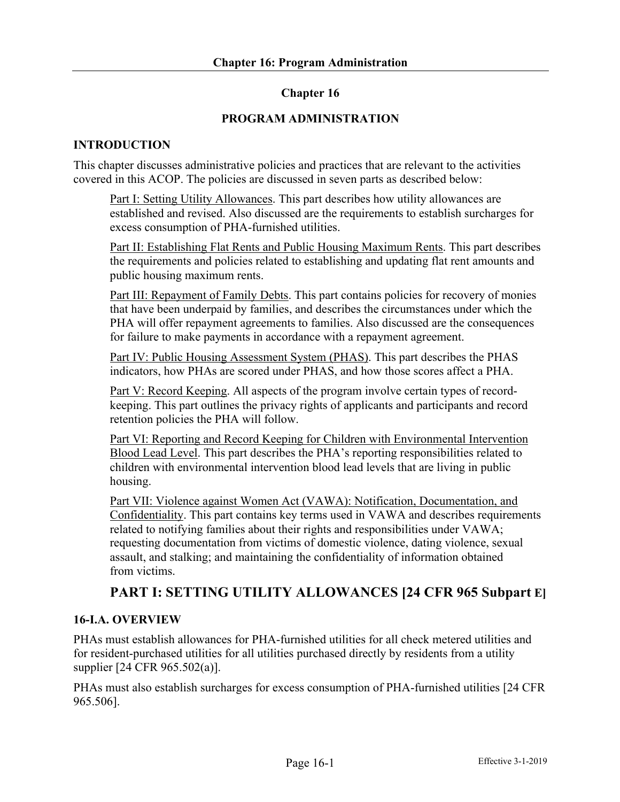# **Chapter 16**

## **PROGRAM ADMINISTRATION**

## **INTRODUCTION**

This chapter discusses administrative policies and practices that are relevant to the activities covered in this ACOP. The policies are discussed in seven parts as described below:

Part I: Setting Utility Allowances. This part describes how utility allowances are established and revised. Also discussed are the requirements to establish surcharges for excess consumption of PHA-furnished utilities.

Part II: Establishing Flat Rents and Public Housing Maximum Rents. This part describes the requirements and policies related to establishing and updating flat rent amounts and public housing maximum rents.

Part III: Repayment of Family Debts. This part contains policies for recovery of monies that have been underpaid by families, and describes the circumstances under which the PHA will offer repayment agreements to families. Also discussed are the consequences for failure to make payments in accordance with a repayment agreement.

Part IV: Public Housing Assessment System (PHAS). This part describes the PHAS indicators, how PHAs are scored under PHAS, and how those scores affect a PHA.

Part V: Record Keeping. All aspects of the program involve certain types of recordkeeping. This part outlines the privacy rights of applicants and participants and record retention policies the PHA will follow.

Part VI: Reporting and Record Keeping for Children with Environmental Intervention Blood Lead Level. This part describes the PHA's reporting responsibilities related to children with environmental intervention blood lead levels that are living in public housing.

Part VII: Violence against Women Act (VAWA): Notification, Documentation, and Confidentiality. This part contains key terms used in VAWA and describes requirements related to notifying families about their rights and responsibilities under VAWA; requesting documentation from victims of domestic violence, dating violence, sexual assault, and stalking; and maintaining the confidentiality of information obtained from victims.

# **PART I: SETTING UTILITY ALLOWANCES [24 CFR 965 Subpart E]**

### **16-I.A. OVERVIEW**

PHAs must establish allowances for PHA-furnished utilities for all check metered utilities and for resident-purchased utilities for all utilities purchased directly by residents from a utility supplier [24 CFR 965.502(a)].

PHAs must also establish surcharges for excess consumption of PHA-furnished utilities [24 CFR 965.506].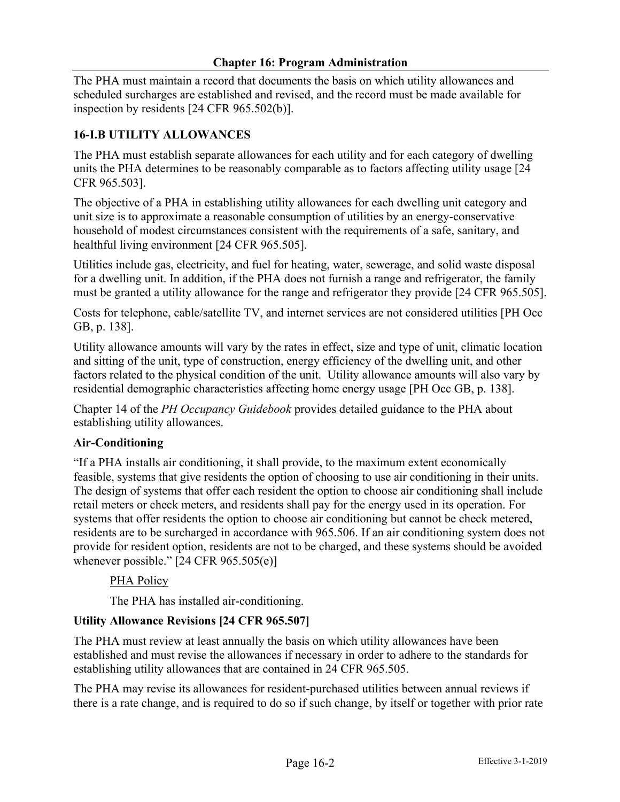The PHA must maintain a record that documents the basis on which utility allowances and scheduled surcharges are established and revised, and the record must be made available for inspection by residents [24 CFR 965.502(b)].

# **16-I.B UTILITY ALLOWANCES**

The PHA must establish separate allowances for each utility and for each category of dwelling units the PHA determines to be reasonably comparable as to factors affecting utility usage [24 CFR 965.503].

The objective of a PHA in establishing utility allowances for each dwelling unit category and unit size is to approximate a reasonable consumption of utilities by an energy-conservative household of modest circumstances consistent with the requirements of a safe, sanitary, and healthful living environment [24 CFR 965.505].

Utilities include gas, electricity, and fuel for heating, water, sewerage, and solid waste disposal for a dwelling unit. In addition, if the PHA does not furnish a range and refrigerator, the family must be granted a utility allowance for the range and refrigerator they provide [24 CFR 965.505].

Costs for telephone, cable/satellite TV, and internet services are not considered utilities [PH Occ GB, p. 138].

Utility allowance amounts will vary by the rates in effect, size and type of unit, climatic location and sitting of the unit, type of construction, energy efficiency of the dwelling unit, and other factors related to the physical condition of the unit. Utility allowance amounts will also vary by residential demographic characteristics affecting home energy usage [PH Occ GB, p. 138].

Chapter 14 of the *PH Occupancy Guidebook* provides detailed guidance to the PHA about establishing utility allowances.

# **Air-Conditioning**

"If a PHA installs air conditioning, it shall provide, to the maximum extent economically feasible, systems that give residents the option of choosing to use air conditioning in their units. The design of systems that offer each resident the option to choose air conditioning shall include retail meters or check meters, and residents shall pay for the energy used in its operation. For systems that offer residents the option to choose air conditioning but cannot be check metered, residents are to be surcharged in accordance with 965.506. If an air conditioning system does not provide for resident option, residents are not to be charged, and these systems should be avoided whenever possible." [24 CFR 965.505(e)]

### **PHA Policy**

The PHA has installed air-conditioning.

# **Utility Allowance Revisions [24 CFR 965.507]**

The PHA must review at least annually the basis on which utility allowances have been established and must revise the allowances if necessary in order to adhere to the standards for establishing utility allowances that are contained in 24 CFR 965.505.

The PHA may revise its allowances for resident-purchased utilities between annual reviews if there is a rate change, and is required to do so if such change, by itself or together with prior rate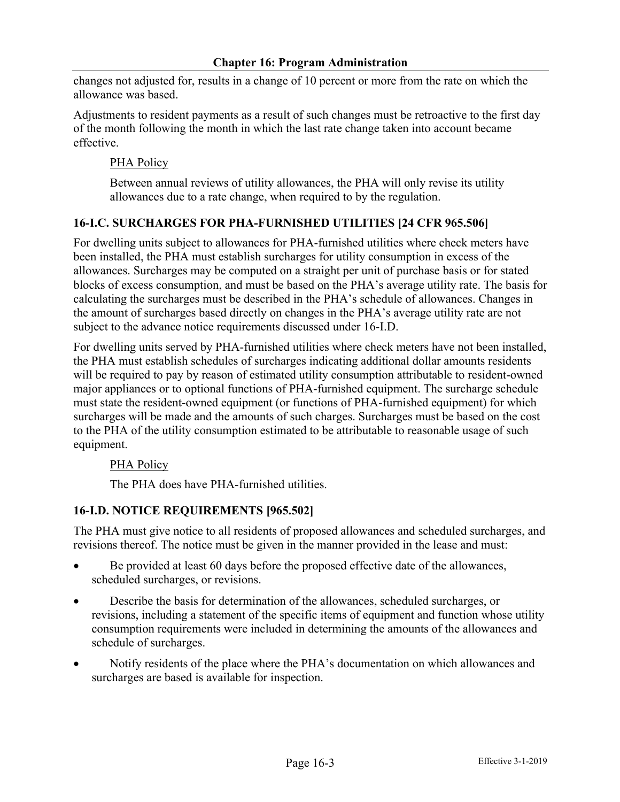changes not adjusted for, results in a change of 10 percent or more from the rate on which the allowance was based.

Adjustments to resident payments as a result of such changes must be retroactive to the first day of the month following the month in which the last rate change taken into account became effective.

# PHA Policy

Between annual reviews of utility allowances, the PHA will only revise its utility allowances due to a rate change, when required to by the regulation.

# **16-I.C. SURCHARGES FOR PHA-FURNISHED UTILITIES [24 CFR 965.506]**

For dwelling units subject to allowances for PHA-furnished utilities where check meters have been installed, the PHA must establish surcharges for utility consumption in excess of the allowances. Surcharges may be computed on a straight per unit of purchase basis or for stated blocks of excess consumption, and must be based on the PHA's average utility rate. The basis for calculating the surcharges must be described in the PHA's schedule of allowances. Changes in the amount of surcharges based directly on changes in the PHA's average utility rate are not subject to the advance notice requirements discussed under 16-I.D.

For dwelling units served by PHA-furnished utilities where check meters have not been installed, the PHA must establish schedules of surcharges indicating additional dollar amounts residents will be required to pay by reason of estimated utility consumption attributable to resident-owned major appliances or to optional functions of PHA-furnished equipment. The surcharge schedule must state the resident-owned equipment (or functions of PHA-furnished equipment) for which surcharges will be made and the amounts of such charges. Surcharges must be based on the cost to the PHA of the utility consumption estimated to be attributable to reasonable usage of such equipment.

# PHA Policy

The PHA does have PHA-furnished utilities.

# **16-I.D. NOTICE REQUIREMENTS [965.502]**

The PHA must give notice to all residents of proposed allowances and scheduled surcharges, and revisions thereof. The notice must be given in the manner provided in the lease and must:

- Be provided at least 60 days before the proposed effective date of the allowances, scheduled surcharges, or revisions.
- Describe the basis for determination of the allowances, scheduled surcharges, or revisions, including a statement of the specific items of equipment and function whose utility consumption requirements were included in determining the amounts of the allowances and schedule of surcharges.
- Notify residents of the place where the PHA's documentation on which allowances and surcharges are based is available for inspection.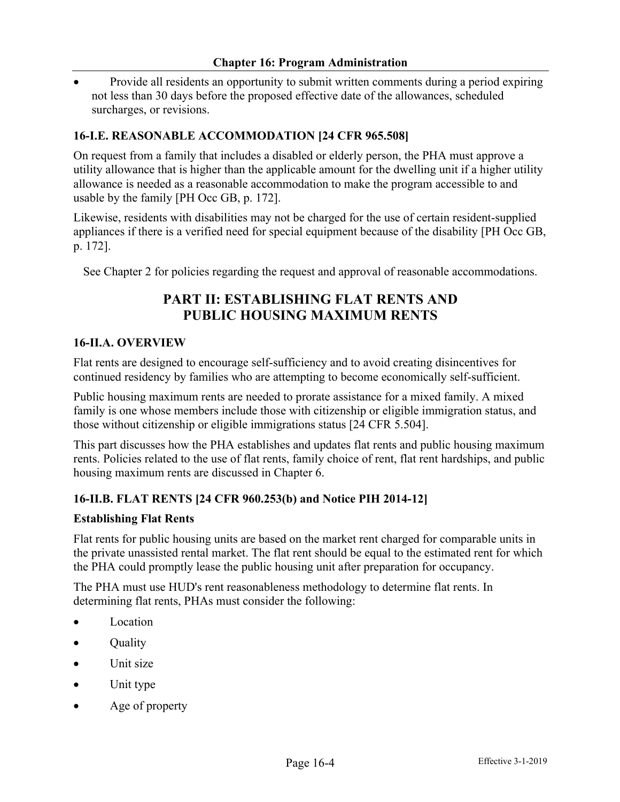• Provide all residents an opportunity to submit written comments during a period expiring not less than 30 days before the proposed effective date of the allowances, scheduled surcharges, or revisions.

## **16-I.E. REASONABLE ACCOMMODATION [24 CFR 965.508]**

On request from a family that includes a disabled or elderly person, the PHA must approve a utility allowance that is higher than the applicable amount for the dwelling unit if a higher utility allowance is needed as a reasonable accommodation to make the program accessible to and usable by the family [PH Occ GB, p. 172].

Likewise, residents with disabilities may not be charged for the use of certain resident-supplied appliances if there is a verified need for special equipment because of the disability [PH Occ GB, p. 172].

See Chapter 2 for policies regarding the request and approval of reasonable accommodations.

# **PART II: ESTABLISHING FLAT RENTS AND PUBLIC HOUSING MAXIMUM RENTS**

#### **16-II.A. OVERVIEW**

Flat rents are designed to encourage self-sufficiency and to avoid creating disincentives for continued residency by families who are attempting to become economically self-sufficient.

Public housing maximum rents are needed to prorate assistance for a mixed family. A mixed family is one whose members include those with citizenship or eligible immigration status, and those without citizenship or eligible immigrations status [24 CFR 5.504].

This part discusses how the PHA establishes and updates flat rents and public housing maximum rents. Policies related to the use of flat rents, family choice of rent, flat rent hardships, and public housing maximum rents are discussed in Chapter 6.

### **16-II.B. FLAT RENTS [24 CFR 960.253(b) and Notice PIH 2014-12]**

#### **Establishing Flat Rents**

Flat rents for public housing units are based on the market rent charged for comparable units in the private unassisted rental market. The flat rent should be equal to the estimated rent for which the PHA could promptly lease the public housing unit after preparation for occupancy.

The PHA must use HUD's rent reasonableness methodology to determine flat rents. In determining flat rents, PHAs must consider the following:

- **Location**
- Quality
- Unit size
- Unit type
- Age of property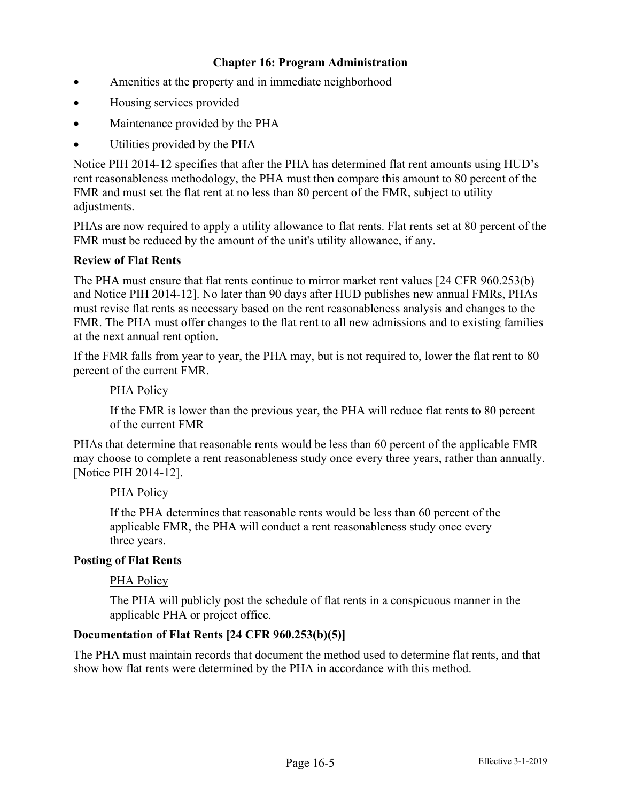- Amenities at the property and in immediate neighborhood
- Housing services provided
- Maintenance provided by the PHA
- Utilities provided by the PHA

Notice PIH 2014-12 specifies that after the PHA has determined flat rent amounts using HUD's rent reasonableness methodology, the PHA must then compare this amount to 80 percent of the FMR and must set the flat rent at no less than 80 percent of the FMR, subject to utility adjustments.

PHAs are now required to apply a utility allowance to flat rents. Flat rents set at 80 percent of the FMR must be reduced by the amount of the unit's utility allowance, if any.

#### **Review of Flat Rents**

The PHA must ensure that flat rents continue to mirror market rent values [24 CFR 960.253(b) and Notice PIH 2014-12]. No later than 90 days after HUD publishes new annual FMRs, PHAs must revise flat rents as necessary based on the rent reasonableness analysis and changes to the FMR. The PHA must offer changes to the flat rent to all new admissions and to existing families at the next annual rent option.

If the FMR falls from year to year, the PHA may, but is not required to, lower the flat rent to 80 percent of the current FMR.

#### PHA Policy

If the FMR is lower than the previous year, the PHA will reduce flat rents to 80 percent of the current FMR

PHAs that determine that reasonable rents would be less than 60 percent of the applicable FMR may choose to complete a rent reasonableness study once every three years, rather than annually. [Notice PIH 2014-12].

### PHA Policy

If the PHA determines that reasonable rents would be less than 60 percent of the applicable FMR, the PHA will conduct a rent reasonableness study once every three years.

#### **Posting of Flat Rents**

#### PHA Policy

The PHA will publicly post the schedule of flat rents in a conspicuous manner in the applicable PHA or project office.

### **Documentation of Flat Rents [24 CFR 960.253(b)(5)]**

The PHA must maintain records that document the method used to determine flat rents, and that show how flat rents were determined by the PHA in accordance with this method.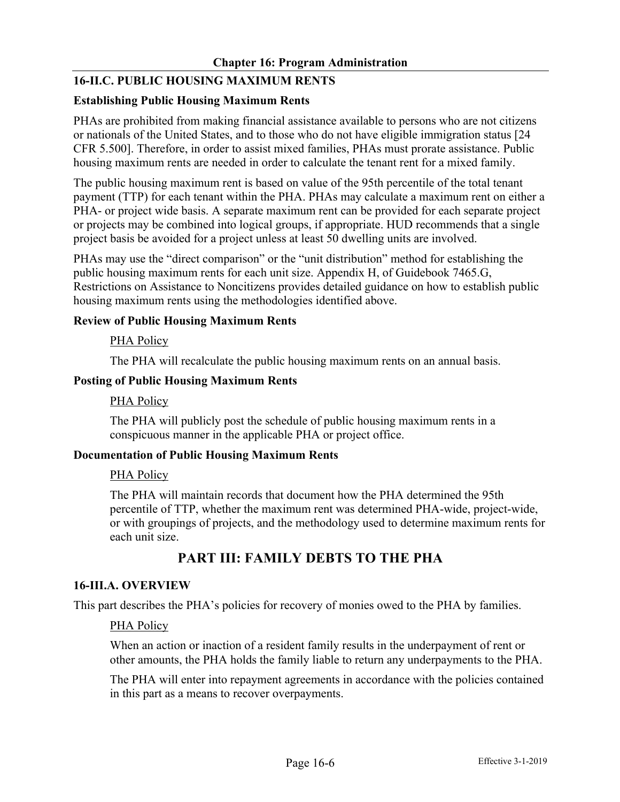# **16-II.C. PUBLIC HOUSING MAXIMUM RENTS**

### **Establishing Public Housing Maximum Rents**

PHAs are prohibited from making financial assistance available to persons who are not citizens or nationals of the United States, and to those who do not have eligible immigration status [24 CFR 5.500]. Therefore, in order to assist mixed families, PHAs must prorate assistance. Public housing maximum rents are needed in order to calculate the tenant rent for a mixed family.

The public housing maximum rent is based on value of the 95th percentile of the total tenant payment (TTP) for each tenant within the PHA. PHAs may calculate a maximum rent on either a PHA- or project wide basis. A separate maximum rent can be provided for each separate project or projects may be combined into logical groups, if appropriate. HUD recommends that a single project basis be avoided for a project unless at least 50 dwelling units are involved.

PHAs may use the "direct comparison" or the "unit distribution" method for establishing the public housing maximum rents for each unit size. Appendix H, of Guidebook 7465.G, Restrictions on Assistance to Noncitizens provides detailed guidance on how to establish public housing maximum rents using the methodologies identified above.

## **Review of Public Housing Maximum Rents**

PHA Policy

The PHA will recalculate the public housing maximum rents on an annual basis.

#### **Posting of Public Housing Maximum Rents**

### PHA Policy

The PHA will publicly post the schedule of public housing maximum rents in a conspicuous manner in the applicable PHA or project office.

### **Documentation of Public Housing Maximum Rents**

### PHA Policy

The PHA will maintain records that document how the PHA determined the 95th percentile of TTP, whether the maximum rent was determined PHA-wide, project-wide, or with groupings of projects, and the methodology used to determine maximum rents for each unit size.

# **PART III: FAMILY DEBTS TO THE PHA**

### **16-III.A. OVERVIEW**

This part describes the PHA's policies for recovery of monies owed to the PHA by families.

### PHA Policy

When an action or inaction of a resident family results in the underpayment of rent or other amounts, the PHA holds the family liable to return any underpayments to the PHA.

The PHA will enter into repayment agreements in accordance with the policies contained in this part as a means to recover overpayments.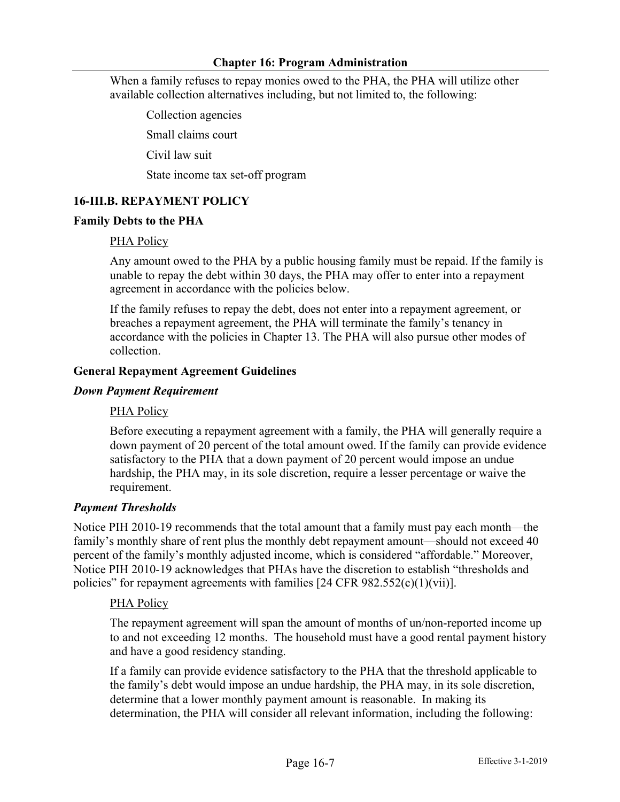When a family refuses to repay monies owed to the PHA, the PHA will utilize other available collection alternatives including, but not limited to, the following:

Collection agencies

Small claims court

Civil law suit

State income tax set-off program

## **16-III.B. REPAYMENT POLICY**

#### **Family Debts to the PHA**

### PHA Policy

Any amount owed to the PHA by a public housing family must be repaid. If the family is unable to repay the debt within 30 days, the PHA may offer to enter into a repayment agreement in accordance with the policies below.

If the family refuses to repay the debt, does not enter into a repayment agreement, or breaches a repayment agreement, the PHA will terminate the family's tenancy in accordance with the policies in Chapter 13. The PHA will also pursue other modes of collection.

#### **General Repayment Agreement Guidelines**

#### *Down Payment Requirement*

### PHA Policy

Before executing a repayment agreement with a family, the PHA will generally require a down payment of 20 percent of the total amount owed. If the family can provide evidence satisfactory to the PHA that a down payment of 20 percent would impose an undue hardship, the PHA may, in its sole discretion, require a lesser percentage or waive the requirement.

### *Payment Thresholds*

Notice PIH 2010-19 recommends that the total amount that a family must pay each month—the family's monthly share of rent plus the monthly debt repayment amount—should not exceed 40 percent of the family's monthly adjusted income, which is considered "affordable." Moreover, Notice PIH 2010-19 acknowledges that PHAs have the discretion to establish "thresholds and policies" for repayment agreements with families  $[24 \text{ CFR } 982.552(c)(1)(\text{vii})]$ .

### PHA Policy

The repayment agreement will span the amount of months of un/non-reported income up to and not exceeding 12 months. The household must have a good rental payment history and have a good residency standing.

If a family can provide evidence satisfactory to the PHA that the threshold applicable to the family's debt would impose an undue hardship, the PHA may, in its sole discretion, determine that a lower monthly payment amount is reasonable. In making its determination, the PHA will consider all relevant information, including the following: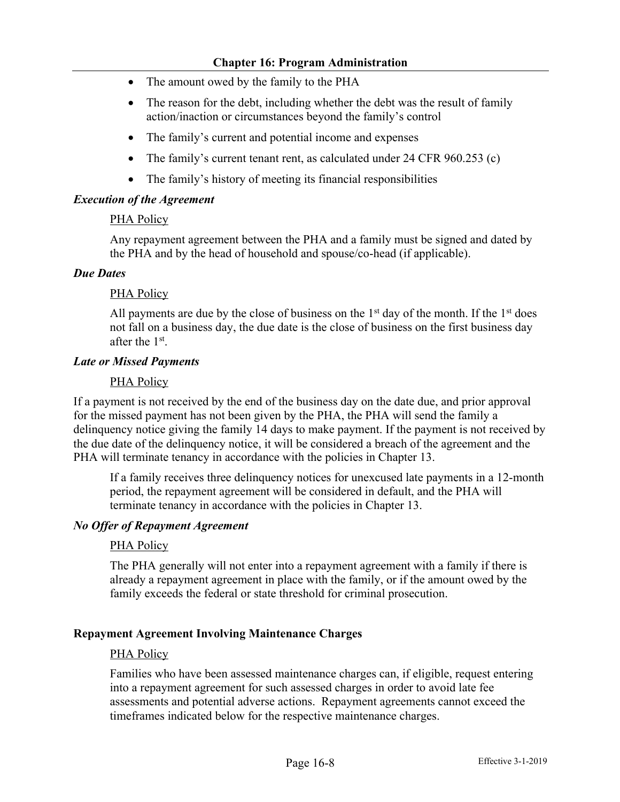- The amount owed by the family to the PHA
- The reason for the debt, including whether the debt was the result of family action/inaction or circumstances beyond the family's control
- The family's current and potential income and expenses
- The family's current tenant rent, as calculated under 24 CFR 960.253 (c)
- The family's history of meeting its financial responsibilities

# *Execution of the Agreement*

## PHA Policy

Any repayment agreement between the PHA and a family must be signed and dated by the PHA and by the head of household and spouse/co-head (if applicable).

## *Due Dates*

# PHA Policy

All payments are due by the close of business on the  $1<sup>st</sup>$  day of the month. If the  $1<sup>st</sup>$  does not fall on a business day, the due date is the close of business on the first business day after the 1st.

## *Late or Missed Payments*

# PHA Policy

If a payment is not received by the end of the business day on the date due, and prior approval for the missed payment has not been given by the PHA, the PHA will send the family a delinquency notice giving the family 14 days to make payment. If the payment is not received by the due date of the delinquency notice, it will be considered a breach of the agreement and the PHA will terminate tenancy in accordance with the policies in Chapter 13.

If a family receives three delinquency notices for unexcused late payments in a 12-month period, the repayment agreement will be considered in default, and the PHA will terminate tenancy in accordance with the policies in Chapter 13.

### *No Offer of Repayment Agreement*

# PHA Policy

The PHA generally will not enter into a repayment agreement with a family if there is already a repayment agreement in place with the family, or if the amount owed by the family exceeds the federal or state threshold for criminal prosecution.

### **Repayment Agreement Involving Maintenance Charges**

### PHA Policy

Families who have been assessed maintenance charges can, if eligible, request entering into a repayment agreement for such assessed charges in order to avoid late fee assessments and potential adverse actions. Repayment agreements cannot exceed the timeframes indicated below for the respective maintenance charges.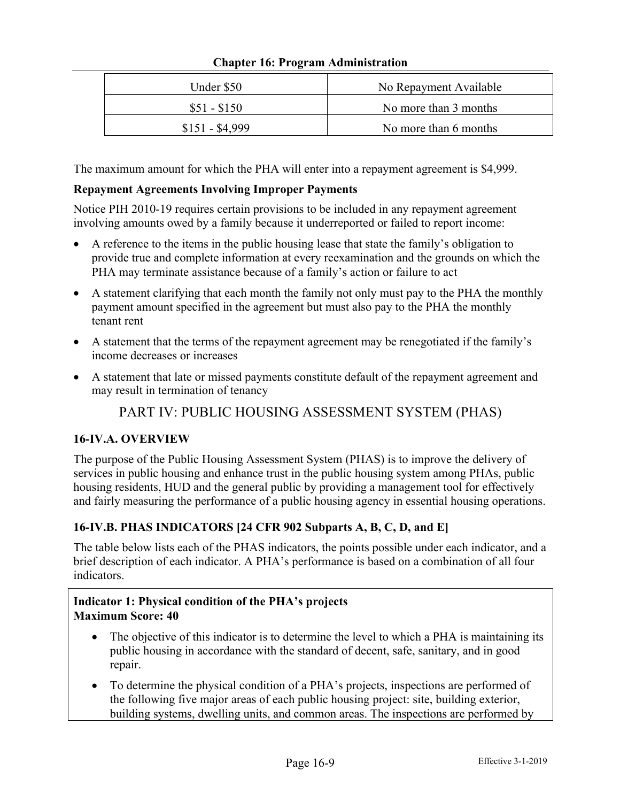| Under \$50      | No Repayment Available |
|-----------------|------------------------|
| $$51 - $150$    | No more than 3 months  |
| $$151 - $4,999$ | No more than 6 months  |

The maximum amount for which the PHA will enter into a repayment agreement is \$4,999.

# **Repayment Agreements Involving Improper Payments**

Notice PIH 2010-19 requires certain provisions to be included in any repayment agreement involving amounts owed by a family because it underreported or failed to report income:

- A reference to the items in the public housing lease that state the family's obligation to provide true and complete information at every reexamination and the grounds on which the PHA may terminate assistance because of a family's action or failure to act
- A statement clarifying that each month the family not only must pay to the PHA the monthly payment amount specified in the agreement but must also pay to the PHA the monthly tenant rent
- A statement that the terms of the repayment agreement may be renegotiated if the family's income decreases or increases
- A statement that late or missed payments constitute default of the repayment agreement and may result in termination of tenancy

# PART IV: PUBLIC HOUSING ASSESSMENT SYSTEM (PHAS)

# **16-IV.A. OVERVIEW**

The purpose of the Public Housing Assessment System (PHAS) is to improve the delivery of services in public housing and enhance trust in the public housing system among PHAs, public housing residents, HUD and the general public by providing a management tool for effectively and fairly measuring the performance of a public housing agency in essential housing operations.

# **16-IV.B. PHAS INDICATORS [24 CFR 902 Subparts A, B, C, D, and E]**

The table below lists each of the PHAS indicators, the points possible under each indicator, and a brief description of each indicator. A PHA's performance is based on a combination of all four indicators.

# **Indicator 1: Physical condition of the PHA's projects Maximum Score: 40**

- The objective of this indicator is to determine the level to which a PHA is maintaining its public housing in accordance with the standard of decent, safe, sanitary, and in good repair.
- To determine the physical condition of a PHA's projects, inspections are performed of the following five major areas of each public housing project: site, building exterior, building systems, dwelling units, and common areas. The inspections are performed by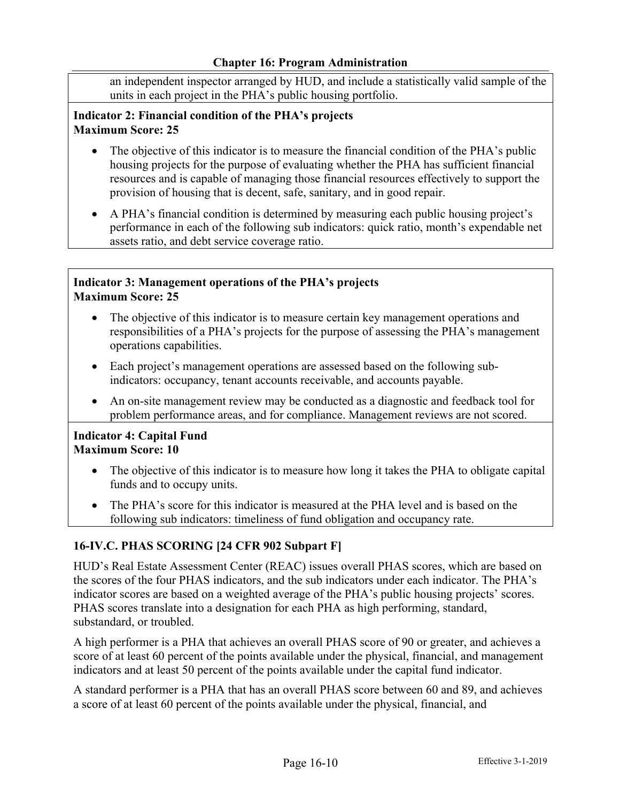an independent inspector arranged by HUD, and include a statistically valid sample of the units in each project in the PHA's public housing portfolio.

## **Indicator 2: Financial condition of the PHA's projects Maximum Score: 25**

- The objective of this indicator is to measure the financial condition of the PHA's public housing projects for the purpose of evaluating whether the PHA has sufficient financial resources and is capable of managing those financial resources effectively to support the provision of housing that is decent, safe, sanitary, and in good repair.
- A PHA's financial condition is determined by measuring each public housing project's performance in each of the following sub indicators: quick ratio, month's expendable net assets ratio, and debt service coverage ratio.

## **Indicator 3: Management operations of the PHA's projects Maximum Score: 25**

- The objective of this indicator is to measure certain key management operations and responsibilities of a PHA's projects for the purpose of assessing the PHA's management operations capabilities.
- Each project's management operations are assessed based on the following subindicators: occupancy, tenant accounts receivable, and accounts payable.
- An on-site management review may be conducted as a diagnostic and feedback tool for problem performance areas, and for compliance. Management reviews are not scored.

### **Indicator 4: Capital Fund Maximum Score: 10**

- The objective of this indicator is to measure how long it takes the PHA to obligate capital funds and to occupy units.
- The PHA's score for this indicator is measured at the PHA level and is based on the following sub indicators: timeliness of fund obligation and occupancy rate.

# **16-IV.C. PHAS SCORING [24 CFR 902 Subpart F]**

HUD's Real Estate Assessment Center (REAC) issues overall PHAS scores, which are based on the scores of the four PHAS indicators, and the sub indicators under each indicator. The PHA's indicator scores are based on a weighted average of the PHA's public housing projects' scores. PHAS scores translate into a designation for each PHA as high performing, standard, substandard, or troubled.

A high performer is a PHA that achieves an overall PHAS score of 90 or greater, and achieves a score of at least 60 percent of the points available under the physical, financial, and management indicators and at least 50 percent of the points available under the capital fund indicator.

A standard performer is a PHA that has an overall PHAS score between 60 and 89, and achieves a score of at least 60 percent of the points available under the physical, financial, and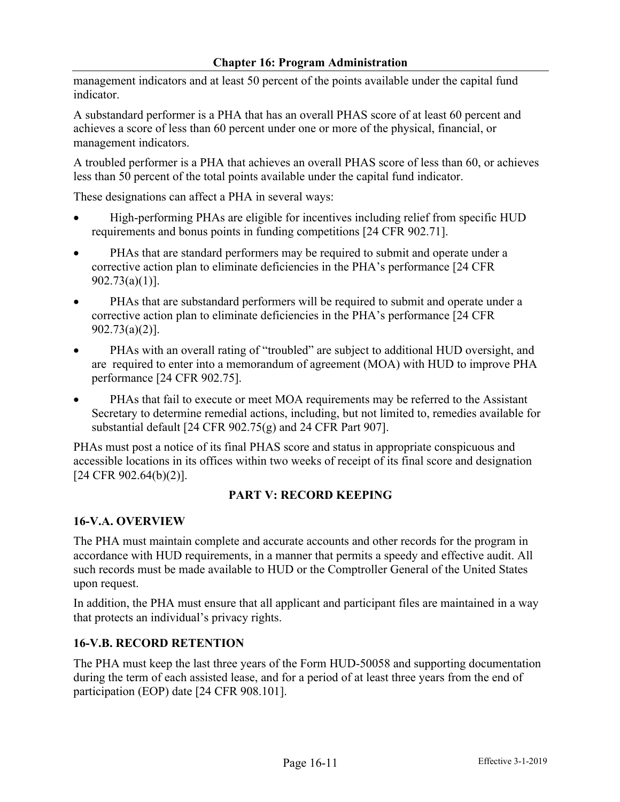management indicators and at least 50 percent of the points available under the capital fund indicator.

A substandard performer is a PHA that has an overall PHAS score of at least 60 percent and achieves a score of less than 60 percent under one or more of the physical, financial, or management indicators.

A troubled performer is a PHA that achieves an overall PHAS score of less than 60, or achieves less than 50 percent of the total points available under the capital fund indicator.

These designations can affect a PHA in several ways:

- High-performing PHAs are eligible for incentives including relief from specific HUD requirements and bonus points in funding competitions [24 CFR 902.71].
- PHAs that are standard performers may be required to submit and operate under a corrective action plan to eliminate deficiencies in the PHA's performance [24 CFR 902.73(a)(1)].
- PHAs that are substandard performers will be required to submit and operate under a corrective action plan to eliminate deficiencies in the PHA's performance [24 CFR 902.73(a)(2)].
- PHAs with an overall rating of "troubled" are subject to additional HUD oversight, and are required to enter into a memorandum of agreement (MOA) with HUD to improve PHA performance [24 CFR 902.75].
- PHAs that fail to execute or meet MOA requirements may be referred to the Assistant Secretary to determine remedial actions, including, but not limited to, remedies available for substantial default [24 CFR 902.75(g) and 24 CFR Part 907].

PHAs must post a notice of its final PHAS score and status in appropriate conspicuous and accessible locations in its offices within two weeks of receipt of its final score and designation [24 CFR 902.64(b)(2)].

# **PART V: RECORD KEEPING**

# **16-V.A. OVERVIEW**

The PHA must maintain complete and accurate accounts and other records for the program in accordance with HUD requirements, in a manner that permits a speedy and effective audit. All such records must be made available to HUD or the Comptroller General of the United States upon request.

In addition, the PHA must ensure that all applicant and participant files are maintained in a way that protects an individual's privacy rights.

# **16-V.B. RECORD RETENTION**

The PHA must keep the last three years of the Form HUD-50058 and supporting documentation during the term of each assisted lease, and for a period of at least three years from the end of participation (EOP) date [24 CFR 908.101].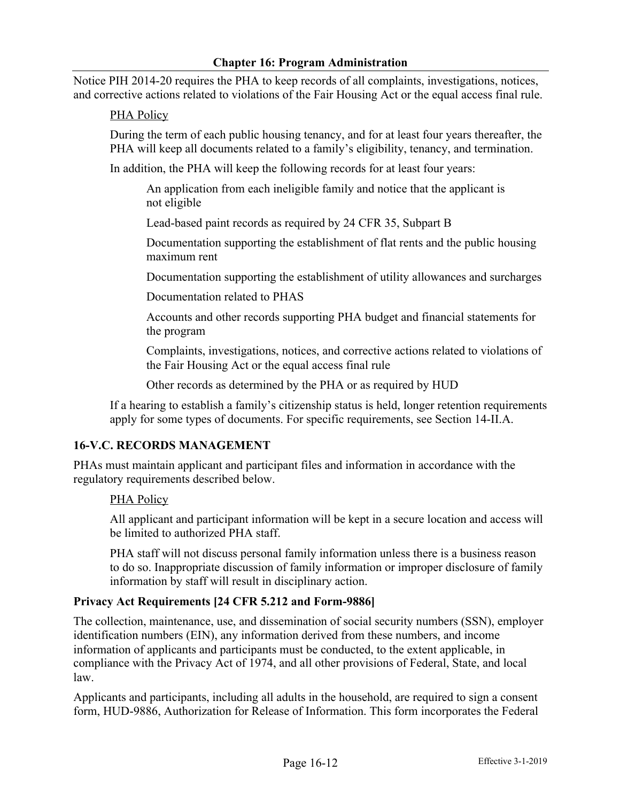Notice PIH 2014-20 requires the PHA to keep records of all complaints, investigations, notices, and corrective actions related to violations of the Fair Housing Act or the equal access final rule.

# PHA Policy

During the term of each public housing tenancy, and for at least four years thereafter, the PHA will keep all documents related to a family's eligibility, tenancy, and termination.

In addition, the PHA will keep the following records for at least four years:

An application from each ineligible family and notice that the applicant is not eligible

Lead-based paint records as required by 24 CFR 35, Subpart B

Documentation supporting the establishment of flat rents and the public housing maximum rent

Documentation supporting the establishment of utility allowances and surcharges

Documentation related to PHAS

Accounts and other records supporting PHA budget and financial statements for the program

Complaints, investigations, notices, and corrective actions related to violations of the Fair Housing Act or the equal access final rule

Other records as determined by the PHA or as required by HUD

If a hearing to establish a family's citizenship status is held, longer retention requirements apply for some types of documents. For specific requirements, see Section 14-II.A.

# **16-V.C. RECORDS MANAGEMENT**

PHAs must maintain applicant and participant files and information in accordance with the regulatory requirements described below.

# PHA Policy

All applicant and participant information will be kept in a secure location and access will be limited to authorized PHA staff.

PHA staff will not discuss personal family information unless there is a business reason to do so. Inappropriate discussion of family information or improper disclosure of family information by staff will result in disciplinary action.

# **Privacy Act Requirements [24 CFR 5.212 and Form-9886]**

The collection, maintenance, use, and dissemination of social security numbers (SSN), employer identification numbers (EIN), any information derived from these numbers, and income information of applicants and participants must be conducted, to the extent applicable, in compliance with the Privacy Act of 1974, and all other provisions of Federal, State, and local law.

Applicants and participants, including all adults in the household, are required to sign a consent form, HUD-9886, Authorization for Release of Information. This form incorporates the Federal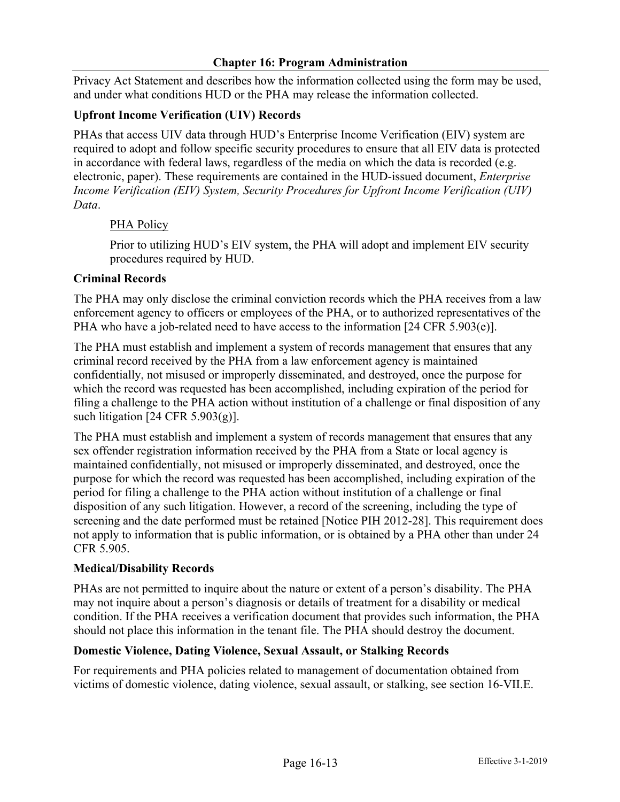Privacy Act Statement and describes how the information collected using the form may be used, and under what conditions HUD or the PHA may release the information collected.

# **Upfront Income Verification (UIV) Records**

PHAs that access UIV data through HUD's Enterprise Income Verification (EIV) system are required to adopt and follow specific security procedures to ensure that all EIV data is protected in accordance with federal laws, regardless of the media on which the data is recorded (e.g. electronic, paper). These requirements are contained in the HUD-issued document, *Enterprise Income Verification (EIV) System, Security Procedures for Upfront Income Verification (UIV) Data*.

# PHA Policy

Prior to utilizing HUD's EIV system, the PHA will adopt and implement EIV security procedures required by HUD.

# **Criminal Records**

The PHA may only disclose the criminal conviction records which the PHA receives from a law enforcement agency to officers or employees of the PHA, or to authorized representatives of the PHA who have a job-related need to have access to the information [24 CFR 5.903(e)].

The PHA must establish and implement a system of records management that ensures that any criminal record received by the PHA from a law enforcement agency is maintained confidentially, not misused or improperly disseminated, and destroyed, once the purpose for which the record was requested has been accomplished, including expiration of the period for filing a challenge to the PHA action without institution of a challenge or final disposition of any such litigation [24 CFR 5.903(g)].

The PHA must establish and implement a system of records management that ensures that any sex offender registration information received by the PHA from a State or local agency is maintained confidentially, not misused or improperly disseminated, and destroyed, once the purpose for which the record was requested has been accomplished, including expiration of the period for filing a challenge to the PHA action without institution of a challenge or final disposition of any such litigation. However, a record of the screening, including the type of screening and the date performed must be retained [Notice PIH 2012-28]. This requirement does not apply to information that is public information, or is obtained by a PHA other than under 24 CFR 5.905.

# **Medical/Disability Records**

PHAs are not permitted to inquire about the nature or extent of a person's disability. The PHA may not inquire about a person's diagnosis or details of treatment for a disability or medical condition. If the PHA receives a verification document that provides such information, the PHA should not place this information in the tenant file. The PHA should destroy the document.

# **Domestic Violence, Dating Violence, Sexual Assault, or Stalking Records**

For requirements and PHA policies related to management of documentation obtained from victims of domestic violence, dating violence, sexual assault, or stalking, see section 16-VII.E.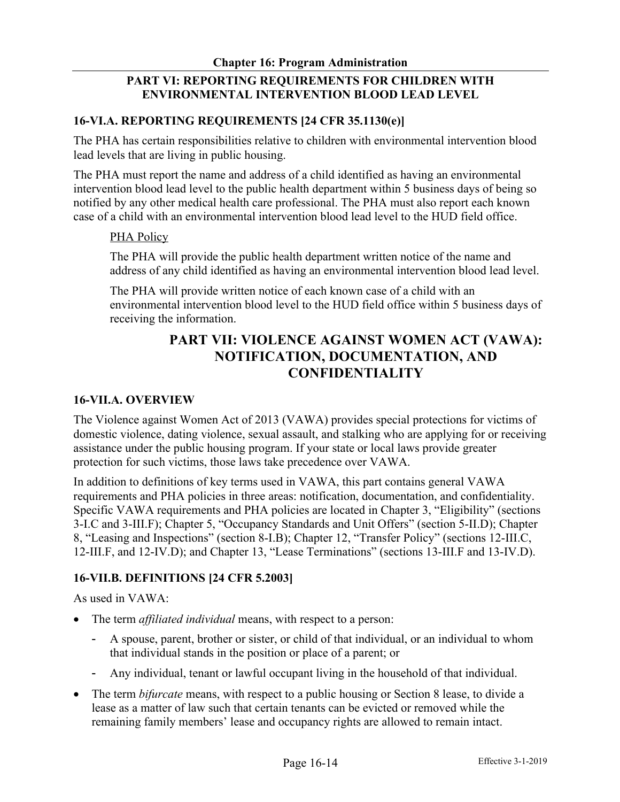# **PART VI: REPORTING REQUIREMENTS FOR CHILDREN WITH ENVIRONMENTAL INTERVENTION BLOOD LEAD LEVEL**

## **16-VI.A. REPORTING REQUIREMENTS [24 CFR 35.1130(e)]**

The PHA has certain responsibilities relative to children with environmental intervention blood lead levels that are living in public housing.

The PHA must report the name and address of a child identified as having an environmental intervention blood lead level to the public health department within 5 business days of being so notified by any other medical health care professional. The PHA must also report each known case of a child with an environmental intervention blood lead level to the HUD field office.

### PHA Policy

The PHA will provide the public health department written notice of the name and address of any child identified as having an environmental intervention blood lead level.

The PHA will provide written notice of each known case of a child with an environmental intervention blood level to the HUD field office within 5 business days of receiving the information.

# **PART VII: VIOLENCE AGAINST WOMEN ACT (VAWA): NOTIFICATION, DOCUMENTATION, AND CONFIDENTIALITY**

## **16-VII.A. OVERVIEW**

The Violence against Women Act of 2013 (VAWA) provides special protections for victims of domestic violence, dating violence, sexual assault, and stalking who are applying for or receiving assistance under the public housing program. If your state or local laws provide greater protection for such victims, those laws take precedence over VAWA.

In addition to definitions of key terms used in VAWA, this part contains general VAWA requirements and PHA policies in three areas: notification, documentation, and confidentiality. Specific VAWA requirements and PHA policies are located in Chapter 3, "Eligibility" (sections 3-I.C and 3-III.F); Chapter 5, "Occupancy Standards and Unit Offers" (section 5-II.D); Chapter 8, "Leasing and Inspections" (section 8-I.B); Chapter 12, "Transfer Policy" (sections 12-III.C, 12-III.F, and 12-IV.D); and Chapter 13, "Lease Terminations" (sections 13-III.F and 13-IV.D).

# **16-VII.B. DEFINITIONS [24 CFR 5.2003]**

As used in VAWA:

- The term *affiliated individual* means, with respect to a person:
	- A spouse, parent, brother or sister, or child of that individual, or an individual to whom that individual stands in the position or place of a parent; or
	- Any individual, tenant or lawful occupant living in the household of that individual.
- The term *bifurcate* means, with respect to a public housing or Section 8 lease, to divide a lease as a matter of law such that certain tenants can be evicted or removed while the remaining family members' lease and occupancy rights are allowed to remain intact.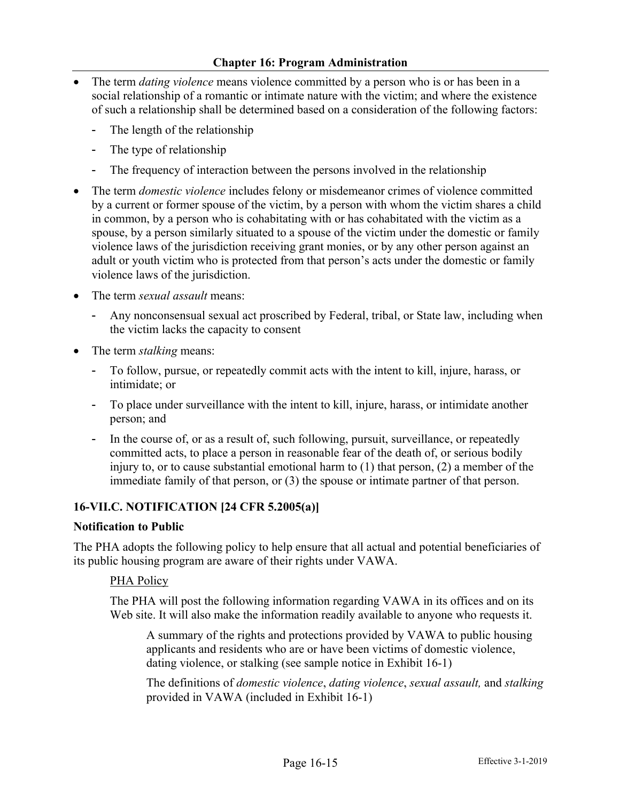- The term *dating violence* means violence committed by a person who is or has been in a social relationship of a romantic or intimate nature with the victim; and where the existence of such a relationship shall be determined based on a consideration of the following factors:
	- The length of the relationship
	- The type of relationship
	- The frequency of interaction between the persons involved in the relationship
- The term *domestic violence* includes felony or misdemeanor crimes of violence committed by a current or former spouse of the victim, by a person with whom the victim shares a child in common, by a person who is cohabitating with or has cohabitated with the victim as a spouse, by a person similarly situated to a spouse of the victim under the domestic or family violence laws of the jurisdiction receiving grant monies, or by any other person against an adult or youth victim who is protected from that person's acts under the domestic or family violence laws of the jurisdiction.
- The term *sexual assault* means:
	- Any nonconsensual sexual act proscribed by Federal, tribal, or State law, including when the victim lacks the capacity to consent
- The term *stalking* means:
	- To follow, pursue, or repeatedly commit acts with the intent to kill, injure, harass, or intimidate; or
	- To place under surveillance with the intent to kill, injure, harass, or intimidate another person; and
	- In the course of, or as a result of, such following, pursuit, surveillance, or repeatedly committed acts, to place a person in reasonable fear of the death of, or serious bodily injury to, or to cause substantial emotional harm to  $(1)$  that person,  $(2)$  a member of the immediate family of that person, or (3) the spouse or intimate partner of that person.

# **16-VII.C. NOTIFICATION [24 CFR 5.2005(a)]**

### **Notification to Public**

The PHA adopts the following policy to help ensure that all actual and potential beneficiaries of its public housing program are aware of their rights under VAWA.

### PHA Policy

The PHA will post the following information regarding VAWA in its offices and on its Web site. It will also make the information readily available to anyone who requests it.

A summary of the rights and protections provided by VAWA to public housing applicants and residents who are or have been victims of domestic violence, dating violence, or stalking (see sample notice in Exhibit 16-1)

The definitions of *domestic violence*, *dating violence*, *sexual assault,* and *stalking* provided in VAWA (included in Exhibit 16-1)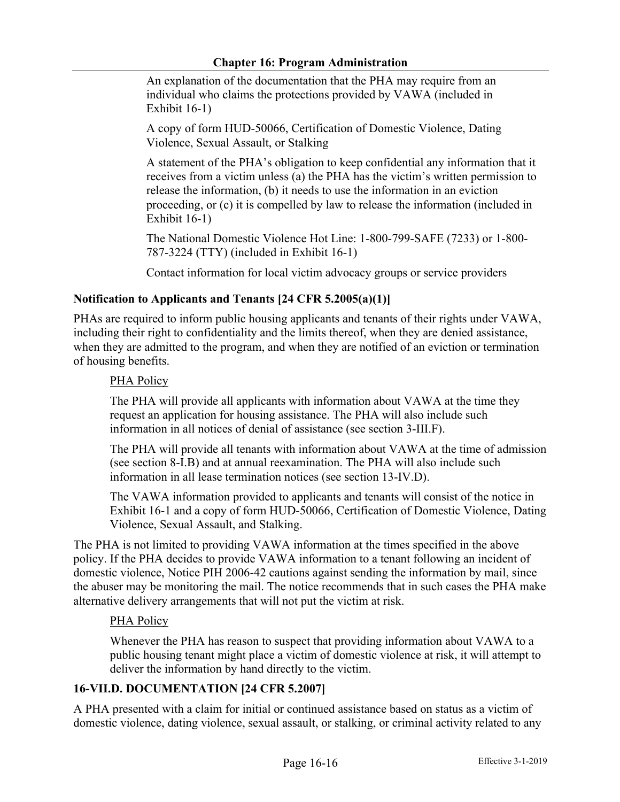An explanation of the documentation that the PHA may require from an individual who claims the protections provided by VAWA (included in Exhibit 16-1)

A copy of form HUD-50066, Certification of Domestic Violence, Dating Violence, Sexual Assault, or Stalking

A statement of the PHA's obligation to keep confidential any information that it receives from a victim unless (a) the PHA has the victim's written permission to release the information, (b) it needs to use the information in an eviction proceeding, or (c) it is compelled by law to release the information (included in Exhibit 16-1)

The National Domestic Violence Hot Line: 1-800-799-SAFE (7233) or 1-800- 787-3224 (TTY) (included in Exhibit 16-1)

Contact information for local victim advocacy groups or service providers

# **Notification to Applicants and Tenants [24 CFR 5.2005(a)(1)]**

PHAs are required to inform public housing applicants and tenants of their rights under VAWA, including their right to confidentiality and the limits thereof, when they are denied assistance, when they are admitted to the program, and when they are notified of an eviction or termination of housing benefits.

### PHA Policy

The PHA will provide all applicants with information about VAWA at the time they request an application for housing assistance. The PHA will also include such information in all notices of denial of assistance (see section 3-III.F).

The PHA will provide all tenants with information about VAWA at the time of admission (see section 8-I.B) and at annual reexamination. The PHA will also include such information in all lease termination notices (see section 13-IV.D).

The VAWA information provided to applicants and tenants will consist of the notice in Exhibit 16-1 and a copy of form HUD-50066, Certification of Domestic Violence, Dating Violence, Sexual Assault, and Stalking.

The PHA is not limited to providing VAWA information at the times specified in the above policy. If the PHA decides to provide VAWA information to a tenant following an incident of domestic violence, Notice PIH 2006-42 cautions against sending the information by mail, since the abuser may be monitoring the mail. The notice recommends that in such cases the PHA make alternative delivery arrangements that will not put the victim at risk.

### PHA Policy

Whenever the PHA has reason to suspect that providing information about VAWA to a public housing tenant might place a victim of domestic violence at risk, it will attempt to deliver the information by hand directly to the victim.

# **16-VII.D. DOCUMENTATION [24 CFR 5.2007]**

A PHA presented with a claim for initial or continued assistance based on status as a victim of domestic violence, dating violence, sexual assault, or stalking, or criminal activity related to any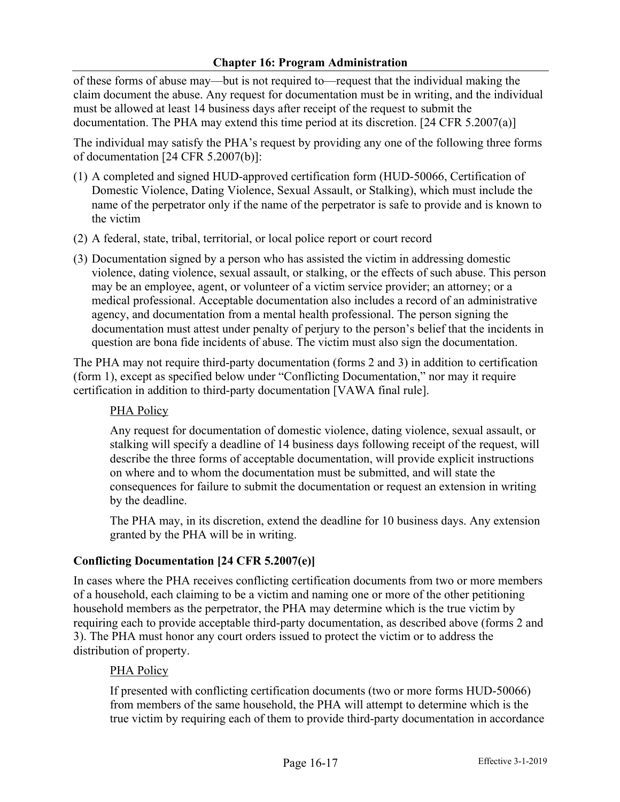of these forms of abuse may—but is not required to—request that the individual making the claim document the abuse. Any request for documentation must be in writing, and the individual must be allowed at least 14 business days after receipt of the request to submit the documentation. The PHA may extend this time period at its discretion. [24 CFR 5.2007(a)]

The individual may satisfy the PHA's request by providing any one of the following three forms of documentation [24 CFR 5.2007(b)]:

- (1) A completed and signed HUD-approved certification form (HUD-50066, Certification of Domestic Violence, Dating Violence, Sexual Assault, or Stalking), which must include the name of the perpetrator only if the name of the perpetrator is safe to provide and is known to the victim
- (2) A federal, state, tribal, territorial, or local police report or court record
- (3) Documentation signed by a person who has assisted the victim in addressing domestic violence, dating violence, sexual assault, or stalking, or the effects of such abuse. This person may be an employee, agent, or volunteer of a victim service provider; an attorney; or a medical professional. Acceptable documentation also includes a record of an administrative agency, and documentation from a mental health professional. The person signing the documentation must attest under penalty of perjury to the person's belief that the incidents in question are bona fide incidents of abuse. The victim must also sign the documentation.

The PHA may not require third-party documentation (forms 2 and 3) in addition to certification (form 1), except as specified below under "Conflicting Documentation," nor may it require certification in addition to third-party documentation [VAWA final rule].

# PHA Policy

Any request for documentation of domestic violence, dating violence, sexual assault, or stalking will specify a deadline of 14 business days following receipt of the request, will describe the three forms of acceptable documentation, will provide explicit instructions on where and to whom the documentation must be submitted, and will state the consequences for failure to submit the documentation or request an extension in writing by the deadline.

The PHA may, in its discretion, extend the deadline for 10 business days. Any extension granted by the PHA will be in writing.

# **Conflicting Documentation [24 CFR 5.2007(e)]**

In cases where the PHA receives conflicting certification documents from two or more members of a household, each claiming to be a victim and naming one or more of the other petitioning household members as the perpetrator, the PHA may determine which is the true victim by requiring each to provide acceptable third-party documentation, as described above (forms 2 and 3). The PHA must honor any court orders issued to protect the victim or to address the distribution of property.

# PHA Policy

If presented with conflicting certification documents (two or more forms HUD-50066) from members of the same household, the PHA will attempt to determine which is the true victim by requiring each of them to provide third-party documentation in accordance